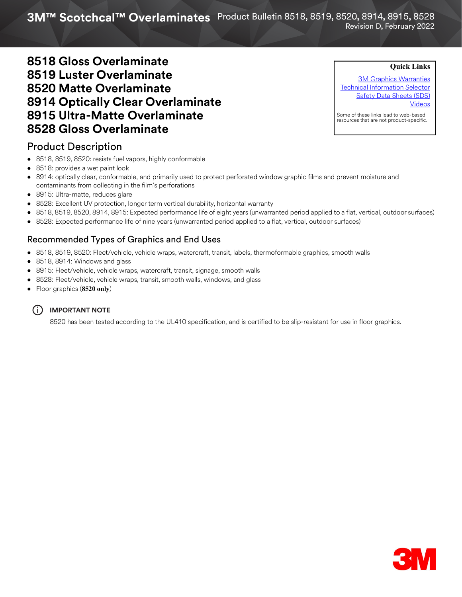3M™ Scotchcal™ Overlaminate Product Bulletin 8518, 8519, 8520, **3M™ Scotchcal™ Overlaminates** Product Bulletin 8518, 8519, 8520, 8914, 8915, 8528 Revision D, February 2022

# **8518 Gloss Overlaminate 8519 Luster Overlaminate 8520 Matte Overlaminate 8914 Optically Clear Overlaminate 8915 Ultra-Matte Overlaminate 8528 Gloss Overlaminate**

#### **Quick Links**

[3M Graphics Warranties](http://solutions.3m.com/wps/portal/3M/en_US/Graphics/3Mgraphics/ToolsandSupport/Warranties/?WT.mc_id=www.3mgraphics.com/warranties) [Technical Information Selector](http://solutions.3m.com/wps/portal/3M/en_US/Graphics/3Mgraphics/ToolsAndSupport/TechnicalInformation/) [Safety Data Sheets \(SDS\)](http://solutions.3m.com/wps/portal/3M/en_WW/MSDS/Search?gsaAction=msdsSRA) [Videos](https://www.youtube.com/channel/UCtW5XL5sVF-26Omo6OlUSvQ)

Some of these links lead to web-based resources that are not product-specific.

## Product Description

- 8518, 8519, 8520: resists fuel vapors, highly conformable
- 8518: provides a wet paint look
- 8914: optically clear, conformable, and primarily used to protect perforated window graphic films and prevent moisture and contaminants from collecting in the film's perforations
- 8915: Ultra-matte, reduces glare
- 8528: Excellent UV protection, longer term vertical durability, horizontal warranty
- 8518, 8519, 8520, 8914, 8915: Expected performance life of eight years (unwarranted period applied to a flat, vertical, outdoor surfaces)
- 8528: Expected performance life of nine years (unwarranted period applied to a flat, vertical, outdoor surfaces)

## Recommended Types of Graphics and End Uses

- 8518, 8519, 8520: Fleet/vehicle, vehicle wraps, watercraft, transit, labels, thermoformable graphics, smooth walls
- 8518, 8914: Windows and glass
- 8915: Fleet/vehicle, vehicle wraps, watercraft, transit, signage, smooth walls
- 8528: Fleet/vehicle, vehicle wraps, transit, smooth walls, windows, and glass
- Floor graphics (**8520 only**)

#### (i) **IMPORTANT NOTE**

8520 has been tested according to the UL410 specification, and is certified to be slip-resistant for use in floor graphics.

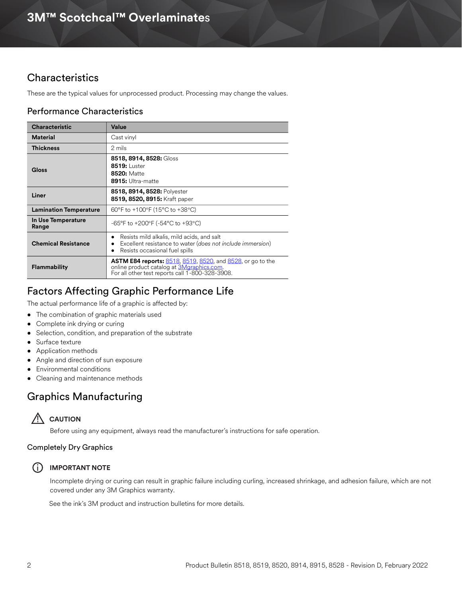# **Characteristics**

These are the typical values for unprocessed product. Processing may change the values.

## Performance Characteristics

| <b>Characteristic</b>         | Value                                                                                                                                                             |
|-------------------------------|-------------------------------------------------------------------------------------------------------------------------------------------------------------------|
| <b>Material</b>               | Cast vinyl                                                                                                                                                        |
| <b>Thickness</b>              | 2 mils                                                                                                                                                            |
| Gloss                         | 8518, 8914, 8528: Gloss<br>8519: Luster<br><b>8520: Matte</b><br>8915: Ultra-matte                                                                                |
| Liner                         | 8518, 8914, 8528: Polyester<br>8519, 8520, 8915: Kraft paper                                                                                                      |
| <b>Lamination Temperature</b> | 60°F to +100°F (15°C to +38°C)                                                                                                                                    |
| In Use Temperature<br>Range   | -65°F to +200°F (-54°C to +93°C)                                                                                                                                  |
| <b>Chemical Resistance</b>    | Resists mild alkalis, mild acids, and salt<br>Excellent resistance to water (does not include immersion)<br>٠<br>Resists occasional fuel spills<br>٠              |
| <b>Flammability</b>           | <b>ASTM E84 reports: 8518, 8519, 8520, and 8528, or go to the</b><br>online product catalog at 3Mgraphics.com.<br>For all other test reports call 1-800-328-3908. |

# Factors Affecting Graphic Performance Life

The actual performance life of a graphic is affected by:

- The combination of graphic materials used
- Complete ink drying or curing
- Selection, condition, and preparation of the substrate
- Surface texture
- Application methods
- Angle and direction of sun exposure
- Environmental conditions
- Cleaning and maintenance methods

## Graphics Manufacturing



Before using any equipment, always read the manufacturer's instructions for safe operation.

#### Completely Dry Graphics



#### i **IMPORTANT NOTE**

Incomplete drying or curing can result in graphic failure including curling, increased shrinkage, and adhesion failure, which are not covered under any 3M Graphics warranty.

See the ink's 3M product and instruction bulletins for more details.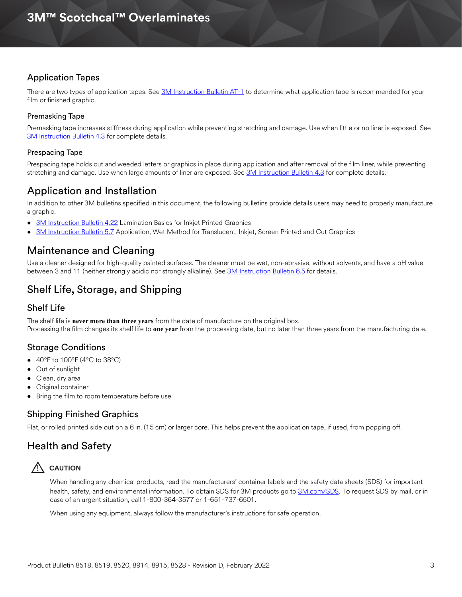#### Application Tapes

There are two types of application tapes. See [3M Instruction Bulletin AT-1](http://multimedia.3m.com/mws/media/1032943O/instruction-bulletin-at-1-application-tables.pdf) to determine what application tape is recommended for your film or finished graphic.

#### Premasking Tape

Premasking tape increases stiffness during application while preventing stretching and damage. Use when little or no liner is exposed. See [3M Instruction Bulletin 4.3](http://multimedia.3m.com/mws/media/12587O/4-3-application-tapes-premasking-and-prespacing.pdf) for complete details.

#### Prespacing Tape

Prespacing tape holds cut and weeded letters or graphics in place during application and after removal of the film liner, while preventing stretching and damage. Use when large amounts of liner are exposed. See [3M Instruction Bulletin 4.3](http://multimedia.3m.com/mws/media/12587O/4-3-application-tapes-premasking-and-prespacing.pdf) for complete details.

# Application and Installation

In addition to other 3M bulletins specified in this document, the following bulletins provide details users may need to properly manufacture a graphic.

- [3M Instruction Bulletin 4.22](http://multimedia.3m.com/mws/media/12768O/4-22-lamination-cold-roll.pdf) Lamination Basics for Inkjet Printed Graphics
- [3M Instruction Bulletin 5.7](http://multimedia.3m.com/mws/media/9621O/instruction-bulletin-5-7.pdf) Application, Wet Method for Translucent, Inkjet, Screen Printed and Cut Graphics

## Maintenance and Cleaning

Use a cleaner designed for high-quality painted surfaces. The cleaner must be wet, non-abrasive, without solvents, and have a pH value between 3 and 11 (neither strongly acidic nor strongly alkaline). See [3M Instruction Bulletin 6.5](http://multimedia.3m.com/mws/media/12593O/6-5-storage-handling-maintenance-removal-of-films-sheetings.pdf) for details.

# Shelf Life, Storage, and Shipping

#### Shelf Life

The shelf life is **never more than three years** from the date of manufacture on the original box. Processing the film changes its shelf life to **one year** from the processing date, but no later than three years from the manufacturing date.

#### Storage Conditions

- $40^{\circ}$ F to  $100^{\circ}$ F ( $4^{\circ}$ C to  $38^{\circ}$ C)
- Out of sunlight
- Clean, dry area
- Original container
- Bring the film to room temperature before use

#### Shipping Finished Graphics

Flat, or rolled printed side out on a 6 in. (15 cm) or larger core. This helps prevent the application tape, if used, from popping off.

# Health and Safety



When handling any chemical products, read the manufacturers' container labels and the safety data sheets (SDS) for important health, safety, and environmental information. To obtain SDS for 3M products go to [3M.com/SDS](http://www.3m.com/SDS). To request SDS by mail, or in case of an urgent situation, call 1-800-364-3577 or 1-651-737-6501.

When using any equipment, always follow the manufacturer's instructions for safe operation.